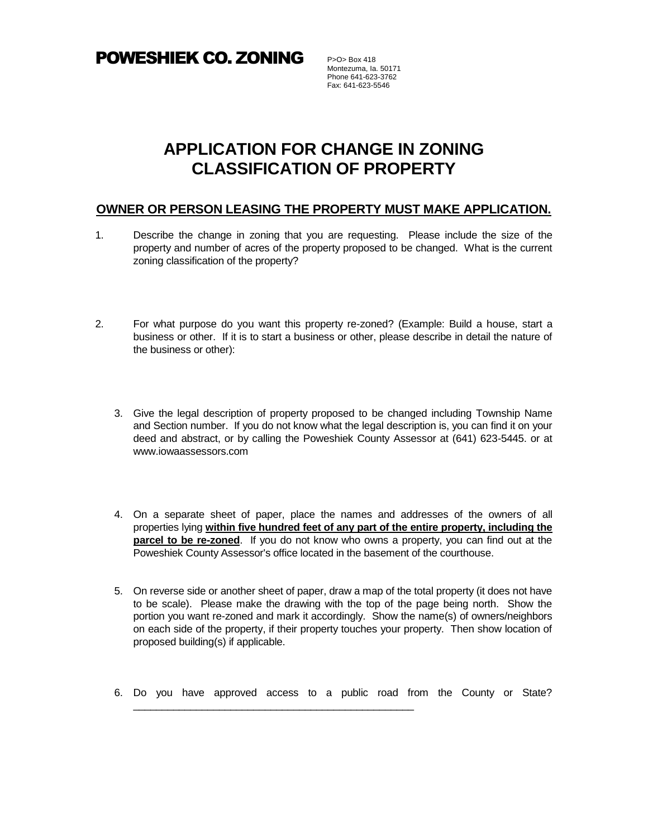**POWESHIEK CO. ZONING** P>O> Box 418

Montezuma, Ia. 50171 Phone 641-623-3762 Fax: 641-623-5546

## **APPLICATION FOR CHANGE IN ZONING CLASSIFICATION OF PROPERTY**

## **OWNER OR PERSON LEASING THE PROPERTY MUST MAKE APPLICATION.**

- 1. Describe the change in zoning that you are requesting. Please include the size of the property and number of acres of the property proposed to be changed. What is the current zoning classification of the property?
- 2. For what purpose do you want this property re-zoned? (Example: Build a house, start a business or other. If it is to start a business or other, please describe in detail the nature of the business or other):
	- 3. Give the legal description of property proposed to be changed including Township Name and Section number. If you do not know what the legal description is, you can find it on your deed and abstract, or by calling the Poweshiek County Assessor at (641) 623-5445. or at www.iowaassessors.com
	- 4. On a separate sheet of paper, place the names and addresses of the owners of all properties lying **within five hundred feet of any part of the entire property, including the parcel to be re-zoned**. If you do not know who owns a property, you can find out at the Poweshiek County Assessor's office located in the basement of the courthouse.
	- 5. On reverse side or another sheet of paper, draw a map of the total property (it does not have to be scale). Please make the drawing with the top of the page being north. Show the portion you want re-zoned and mark it accordingly. Show the name(s) of owners/neighbors on each side of the property, if their property touches your property. Then show location of proposed building(s) if applicable.
	- 6. Do you have approved access to a public road from the County or State?

\_\_\_\_\_\_\_\_\_\_\_\_\_\_\_\_\_\_\_\_\_\_\_\_\_\_\_\_\_\_\_\_\_\_\_\_\_\_\_\_\_\_\_\_\_\_\_\_\_